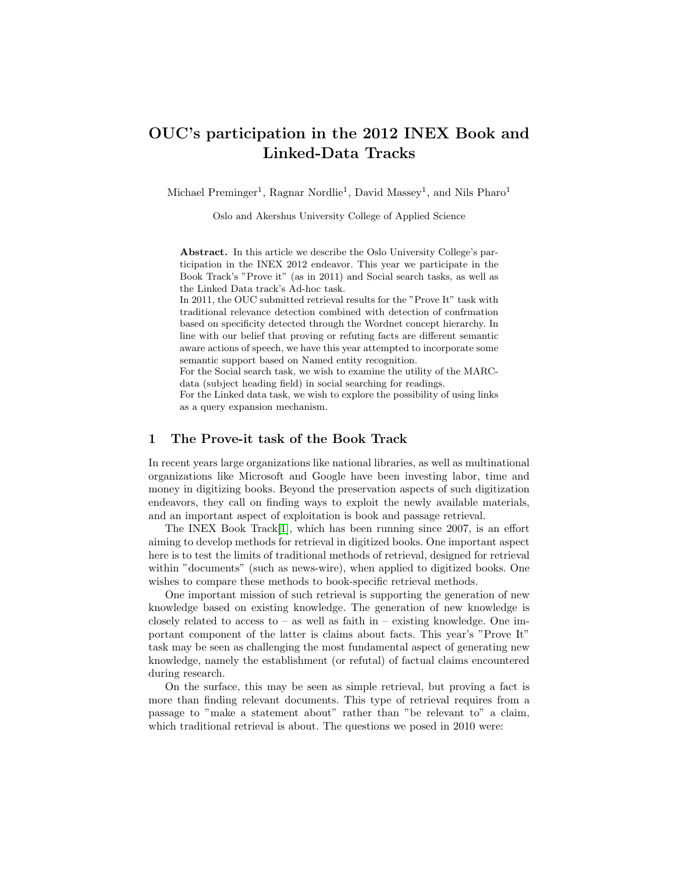# OUC's participation in the 2012 INEX Book and Linked-Data Tracks

Michael Preminger<sup>1</sup>, Ragnar Nordlie<sup>1</sup>, David Massey<sup>1</sup>, and Nils Pharo<sup>1</sup>

Oslo and Akershus University College of Applied Science

Abstract. In this article we describe the Oslo University College's participation in the INEX 2012 endeavor. This year we participate in the Book Track's "Prove it" (as in 2011) and Social search tasks, as well as the Linked Data track's Ad-hoc task.

In 2011, the OUC submitted retrieval results for the "Prove It" task with traditional relevance detection combined with detection of confrmation based on specificity detected through the Wordnet concept hierarchy. In line with our belief that proving or refuting facts are different semantic aware actions of speech, we have this year attempted to incorporate some semantic support based on Named entity recognition.

For the Social search task, we wish to examine the utility of the MARCdata (subject heading field) in social searching for readings.

For the Linked data task, we wish to explore the possibility of using links as a query expansion mechanism.

# 1 The Prove-it task of the Book Track

In recent years large organizations like national libraries, as well as multinational organizations like Microsoft and Google have been investing labor, time and money in digitizing books. Beyond the preservation aspects of such digitization endeavors, they call on finding ways to exploit the newly available materials, and an important aspect of exploitation is book and passage retrieval.

The INEX Book Track[\[1\]](#page-11-0), which has been running since 2007, is an effort aiming to develop methods for retrieval in digitized books. One important aspect here is to test the limits of traditional methods of retrieval, designed for retrieval within "documents" (such as news-wire), when applied to digitized books. One wishes to compare these methods to book-specific retrieval methods.

One important mission of such retrieval is supporting the generation of new knowledge based on existing knowledge. The generation of new knowledge is closely related to access to – as well as faith in – existing knowledge. One important component of the latter is claims about facts. This year's "Prove It" task may be seen as challenging the most fundamental aspect of generating new knowledge, namely the establishment (or refutal) of factual claims encountered during research.

On the surface, this may be seen as simple retrieval, but proving a fact is more than finding relevant documents. This type of retrieval requires from a passage to "make a statement about" rather than "be relevant to" a claim, which traditional retrieval is about. The questions we posed in 2010 were: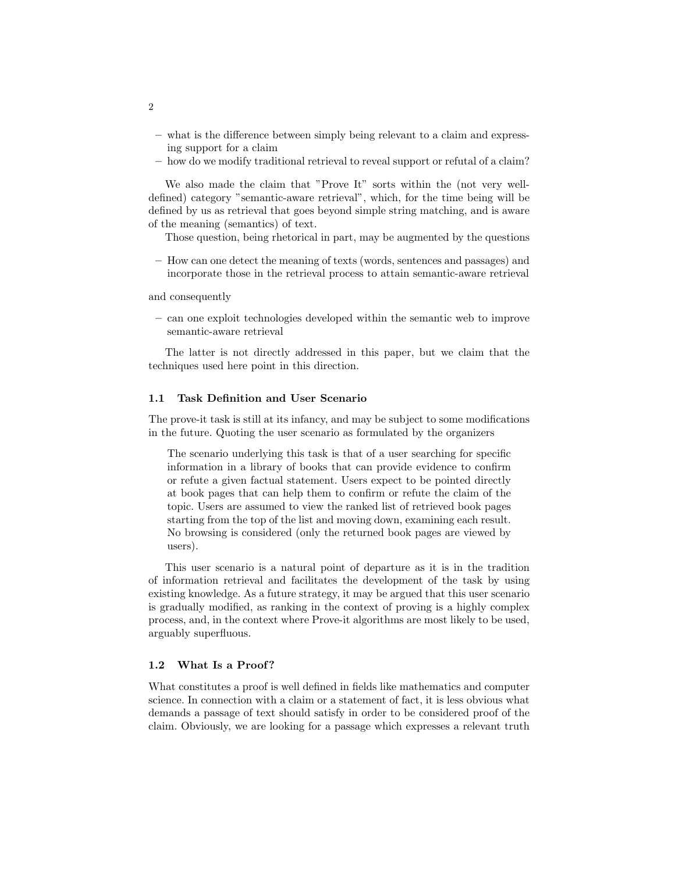- what is the difference between simply being relevant to a claim and expressing support for a claim
- how do we modify traditional retrieval to reveal support or refutal of a claim?

We also made the claim that "Prove It" sorts within the (not very welldefined) category "semantic-aware retrieval", which, for the time being will be defined by us as retrieval that goes beyond simple string matching, and is aware of the meaning (semantics) of text.

Those question, being rhetorical in part, may be augmented by the questions

– How can one detect the meaning of texts (words, sentences and passages) and incorporate those in the retrieval process to attain semantic-aware retrieval

and consequently

– can one exploit technologies developed within the semantic web to improve semantic-aware retrieval

The latter is not directly addressed in this paper, but we claim that the techniques used here point in this direction.

#### 1.1 Task Definition and User Scenario

The prove-it task is still at its infancy, and may be subject to some modifications in the future. Quoting the user scenario as formulated by the organizers

The scenario underlying this task is that of a user searching for specific information in a library of books that can provide evidence to confirm or refute a given factual statement. Users expect to be pointed directly at book pages that can help them to confirm or refute the claim of the topic. Users are assumed to view the ranked list of retrieved book pages starting from the top of the list and moving down, examining each result. No browsing is considered (only the returned book pages are viewed by users).

This user scenario is a natural point of departure as it is in the tradition of information retrieval and facilitates the development of the task by using existing knowledge. As a future strategy, it may be argued that this user scenario is gradually modified, as ranking in the context of proving is a highly complex process, and, in the context where Prove-it algorithms are most likely to be used, arguably superfluous.

#### 1.2 What Is a Proof?

What constitutes a proof is well defined in fields like mathematics and computer science. In connection with a claim or a statement of fact, it is less obvious what demands a passage of text should satisfy in order to be considered proof of the claim. Obviously, we are looking for a passage which expresses a relevant truth

2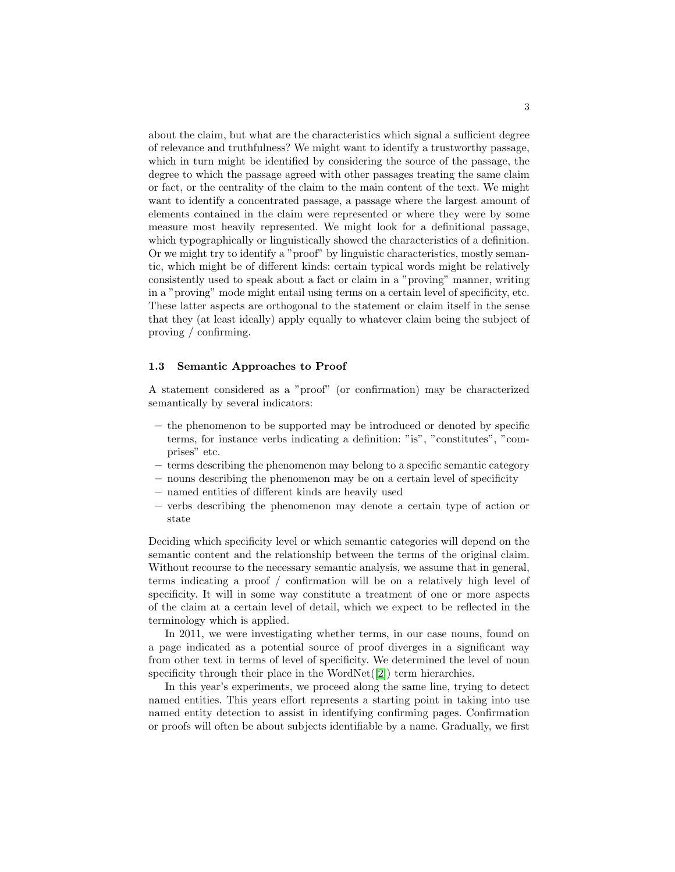about the claim, but what are the characteristics which signal a sufficient degree of relevance and truthfulness? We might want to identify a trustworthy passage, which in turn might be identified by considering the source of the passage, the degree to which the passage agreed with other passages treating the same claim or fact, or the centrality of the claim to the main content of the text. We might want to identify a concentrated passage, a passage where the largest amount of elements contained in the claim were represented or where they were by some measure most heavily represented. We might look for a definitional passage, which typographically or linguistically showed the characteristics of a definition. Or we might try to identify a "proof" by linguistic characteristics, mostly semantic, which might be of different kinds: certain typical words might be relatively consistently used to speak about a fact or claim in a "proving" manner, writing in a "proving" mode might entail using terms on a certain level of specificity, etc. These latter aspects are orthogonal to the statement or claim itself in the sense that they (at least ideally) apply equally to whatever claim being the subject of proving / confirming.

#### 1.3 Semantic Approaches to Proof

A statement considered as a "proof" (or confirmation) may be characterized semantically by several indicators:

- the phenomenon to be supported may be introduced or denoted by specific terms, for instance verbs indicating a definition: "is", "constitutes", "comprises" etc.
- terms describing the phenomenon may belong to a specific semantic category
- nouns describing the phenomenon may be on a certain level of specificity
- named entities of different kinds are heavily used
- verbs describing the phenomenon may denote a certain type of action or state

Deciding which specificity level or which semantic categories will depend on the semantic content and the relationship between the terms of the original claim. Without recourse to the necessary semantic analysis, we assume that in general, terms indicating a proof / confirmation will be on a relatively high level of specificity. It will in some way constitute a treatment of one or more aspects of the claim at a certain level of detail, which we expect to be reflected in the terminology which is applied.

In 2011, we were investigating whether terms, in our case nouns, found on a page indicated as a potential source of proof diverges in a significant way from other text in terms of level of specificity. We determined the level of noun specificity through their place in the WordNet $([2])$  $([2])$  $([2])$  term hierarchies.

In this year's experiments, we proceed along the same line, trying to detect named entities. This years effort represents a starting point in taking into use named entity detection to assist in identifying confirming pages. Confirmation or proofs will often be about subjects identifiable by a name. Gradually, we first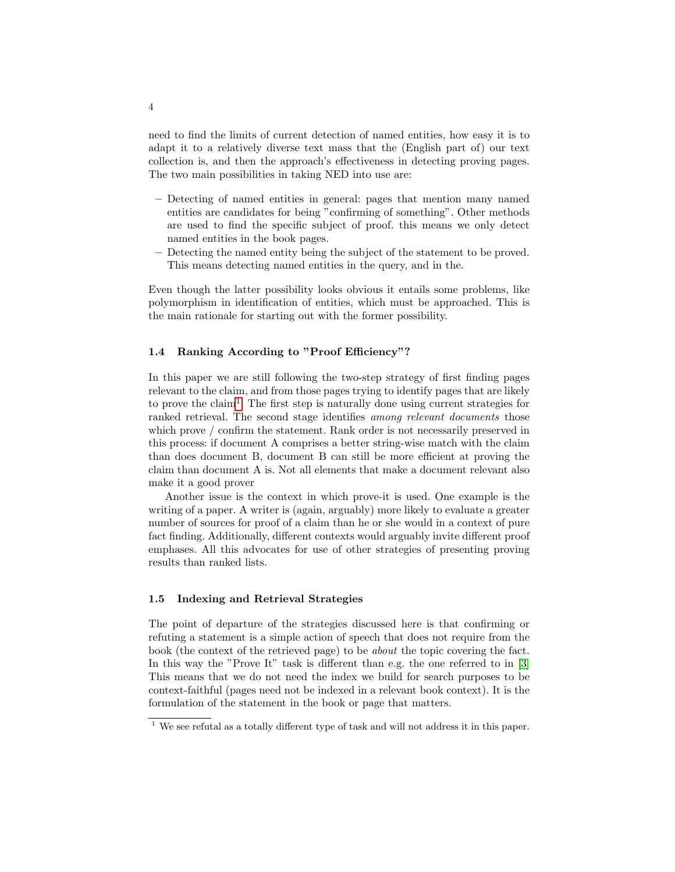need to find the limits of current detection of named entities, how easy it is to adapt it to a relatively diverse text mass that the (English part of) our text collection is, and then the approach's effectiveness in detecting proving pages. The two main possibilities in taking NED into use are:

- Detecting of named entities in general: pages that mention many named entities are candidates for being "confirming of something". Other methods are used to find the specific subject of proof. this means we only detect named entities in the book pages.
- Detecting the named entity being the subject of the statement to be proved. This means detecting named entities in the query, and in the.

Even though the latter possibility looks obvious it entails some problems, like polymorphism in identification of entities, which must be approached. This is the main rationale for starting out with the former possibility.

## 1.4 Ranking According to "Proof Efficiency"?

In this paper we are still following the two-step strategy of first finding pages relevant to the claim, and from those pages trying to identify pages that are likely to prove the claim<sup>[1](#page-3-0)</sup>. The first step is naturally done using current strategies for ranked retrieval. The second stage identifies among relevant documents those which prove / confirm the statement. Rank order is not necessarily preserved in this process: if document A comprises a better string-wise match with the claim than does document B, document B can still be more efficient at proving the claim than document A is. Not all elements that make a document relevant also make it a good prover

Another issue is the context in which prove-it is used. One example is the writing of a paper. A writer is (again, arguably) more likely to evaluate a greater number of sources for proof of a claim than he or she would in a context of pure fact finding. Additionally, different contexts would arguably invite different proof emphases. All this advocates for use of other strategies of presenting proving results than ranked lists.

#### 1.5 Indexing and Retrieval Strategies

The point of departure of the strategies discussed here is that confirming or refuting a statement is a simple action of speech that does not require from the book (the context of the retrieved page) to be about the topic covering the fact. In this way the "Prove It" task is different than e.g. the one referred to in [\[3\]](#page-11-2) This means that we do not need the index we build for search purposes to be context-faithful (pages need not be indexed in a relevant book context). It is the formulation of the statement in the book or page that matters.

<span id="page-3-0"></span><sup>1</sup> We see refutal as a totally different type of task and will not address it in this paper.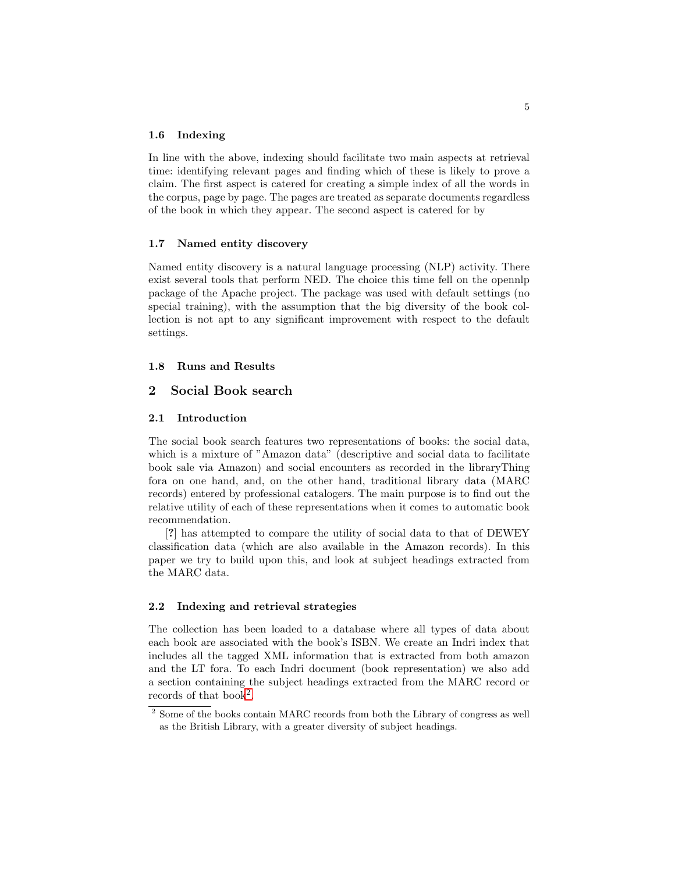#### 1.6 Indexing

In line with the above, indexing should facilitate two main aspects at retrieval time: identifying relevant pages and finding which of these is likely to prove a claim. The first aspect is catered for creating a simple index of all the words in the corpus, page by page. The pages are treated as separate documents regardless of the book in which they appear. The second aspect is catered for by

#### 1.7 Named entity discovery

Named entity discovery is a natural language processing (NLP) activity. There exist several tools that perform NED. The choice this time fell on the opennlp package of the Apache project. The package was used with default settings (no special training), with the assumption that the big diversity of the book collection is not apt to any significant improvement with respect to the default settings.

#### 1.8 Runs and Results

## 2 Social Book search

#### 2.1 Introduction

The social book search features two representations of books: the social data, which is a mixture of "Amazon data" (descriptive and social data to facilitate book sale via Amazon) and social encounters as recorded in the libraryThing fora on one hand, and, on the other hand, traditional library data (MARC records) entered by professional catalogers. The main purpose is to find out the relative utility of each of these representations when it comes to automatic book recommendation.

[?] has attempted to compare the utility of social data to that of DEWEY classification data (which are also available in the Amazon records). In this paper we try to build upon this, and look at subject headings extracted from the MARC data.

#### <span id="page-4-1"></span>2.2 Indexing and retrieval strategies

The collection has been loaded to a database where all types of data about each book are associated with the book's ISBN. We create an Indri index that includes all the tagged XML information that is extracted from both amazon and the LT fora. To each Indri document (book representation) we also add a section containing the subject headings extracted from the MARC record or records of that book<sup>[2](#page-4-0)</sup>.

<span id="page-4-0"></span><sup>&</sup>lt;sup>2</sup> Some of the books contain MARC records from both the Library of congress as well as the British Library, with a greater diversity of subject headings.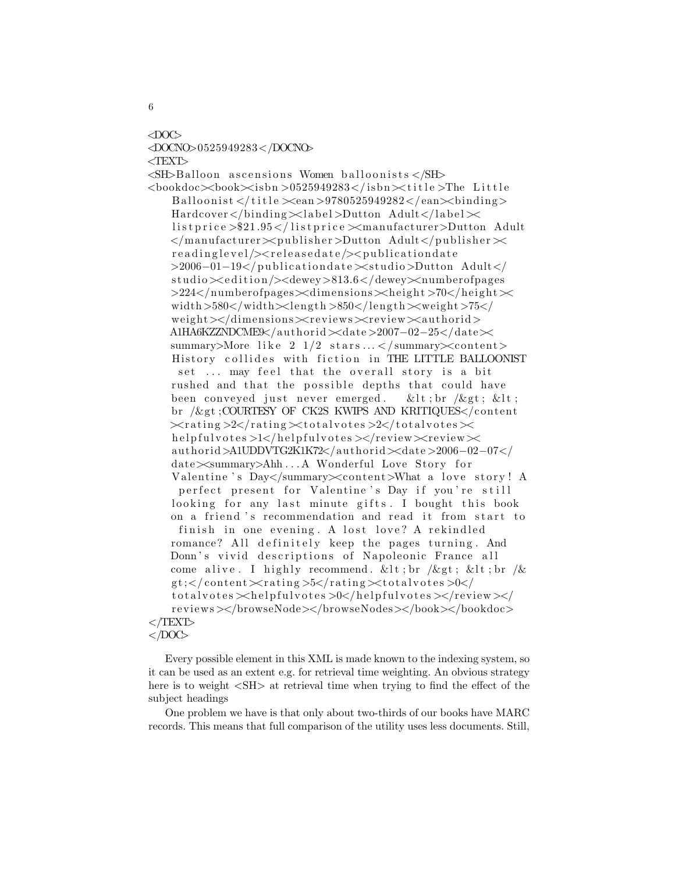## <DOC> <DOCNO>0525949283</DOCNO> <TEXT>

 $\langle$ SH $>$ Balloon ascensions Women balloonists $\langle$ /SH $>$  $<$ bookdoc $<$ book $>$ isbn $>$ 0525949283 $<$ /isbn $>$ title $>$ The Little  $B$ alloonist  $\langle$  title  $\rangle$ ean > 9780525949282 $\langle$ ean $\rangle$ binding >  $Hardcover Dutch$  $list price > $21.95$  < // list price  $\times$  manufacturer > Dutch $\alpha$  </manufacturer $\times$ publisher >Dutton Adult $\alpha$  /publisher  $\times$ readinglevel/><releasedate/><publicationdate >2006-01-19</publicationdate×studio>Dutton Adult</ studio $\times$ edition/ $\times$ dewey $>$ 813.6 $\lt$ /dewey $\times$ numberofpages  $>$ 224 $\lt$ /numberofpages $\times$ dimensions $\times$ height $>$ 70 $\lt$ /height $\times$ width> $>580$ </width $>$ length $>850$ </length $>$ weight $>75$ </  $weight \times / dimensions \times reviews \times review \times authorid \times$ A1HA6KZZNDCME9</au th o rid><date >2007−02−25</date>< summary>More l i k e 2 1/2 s t a r s ... </ summary><c on ten t> History collides with fiction in THE LITTLE BALLOONIST set ... may feel that the overall story is a bit rushed and that the possible depths that could have been conveyed just never emerged.  $< l$  t; br  $\sqrt{k}$ gt;  $< l$ t; br />COURTESY OF CK2S KWIPS AND KRITIQUES</content  $\times$ rating >2</rating $\times$ totalvotes >2</totalvotes $\times$  $helpfulvotes >1$  </helpfulvotes > </review  $\times$ authorid>A1UDDVTG2K1K72</authorid><date>2006-02-07</  $date \times summary > Ahh \ldots$  A Wonderful Love Story for Valentine's Day</summary><content>What a love story! A perfect present for Valentine's Day if you're still looking for any last minute gifts. I bought this book on a friend's recommendation and read it from start to finish in one evening. A lost love? A rekindled romance? All definitely keep the pages turning. And Donn's vivid descriptions of Napoleonic France all come alive. I highly recommend.  $< 1$  ; br  $\sqrt{k}$ gt;  $< 1$ t; br  $\sqrt{k}$  $gt;lt;$ /content $\times$ rating $gt$ 5 $lt$ /rating $\times$ totalvotes $gt$ 0 $lt$ /  $\text{totalvotes} \times \text{helpfulvotes} > 0 < \text{helpfulvotes} > 1$ r e vi ew s ></browseNode></browseNodes></book></bookdoc>  $\langle$ TEXT $>$  $<$ /DOC>

Every possible element in this XML is made known to the indexing system, so it can be used as an extent e.g. for retrieval time weighting. An obvious strategy here is to weight  $\langle SH \rangle$  at retrieval time when trying to find the effect of the subject headings

One problem we have is that only about two-thirds of our books have MARC records. This means that full comparison of the utility uses less documents. Still,

6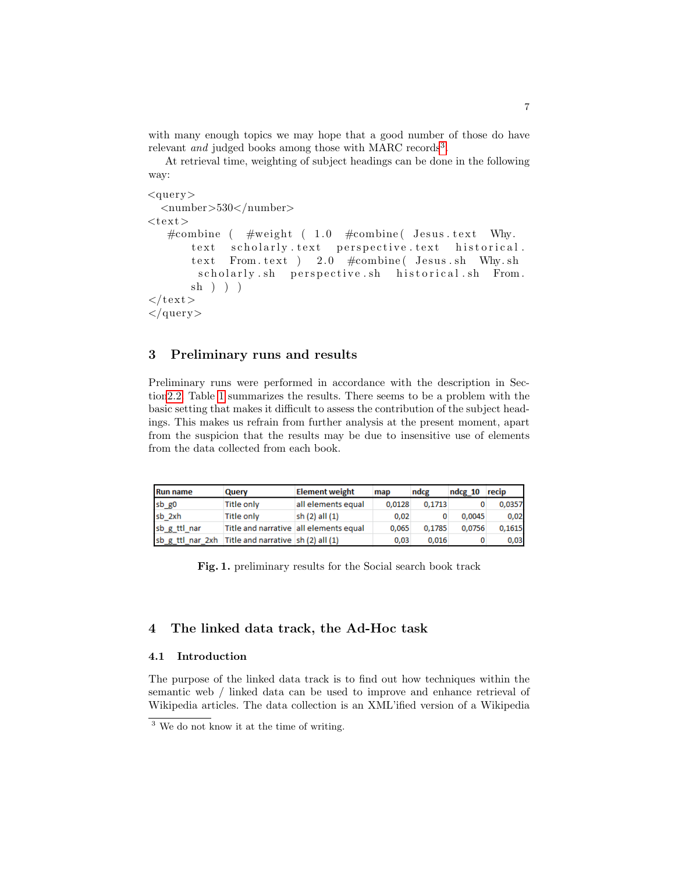with many enough topics we may hope that a good number of those do have relevant and judged books among those with MARC records<sup>[3](#page-6-0)</sup>.

At retrieval time, weighting of subject headings can be done in the following way:

```
<query><number>530</number>
<text>#combine ( #weight ( 1.0 #combine (Jesus.text Why.
      text scholarly.text perspective.text historical.
      text From.text ) 2.0 #combine (Jesus.sh Why.sh
       scholarly sh perspective sh historical sh From.
      \sh ) ) )
\langletext>
\langlequery>
```
# 3 Preliminary runs and results

Preliminary runs were performed in accordance with the description in Sectio[n2.2.](#page-4-1) Table [1](#page-6-1) summarizes the results. There seems to be a problem with the basic setting that makes it difficult to assess the contribution of the subject headings. This makes us refrain from further analysis at the present moment, apart from the suspicion that the results may be due to insensitive use of elements from the data collected from each book.

| <b>Run name</b> | Query                                                   | <b>Element weight</b>                  | map    | ndcg   | $ndcg$ 10 | recip  |
|-----------------|---------------------------------------------------------|----------------------------------------|--------|--------|-----------|--------|
|                 | <b>Title only</b>                                       | all elements equal                     | 0.0128 | 0.1713 |           | 0.0357 |
| sb_g0<br>sb_2xh | Title only                                              | $sh(2)$ all $(1)$                      | 0.02   |        | 0,0045    | 0.02   |
| sb_g_ttl_nar    |                                                         | Title and narrative all elements equal | 0,065  | 0.1785 | 0.0756    | 0,1615 |
|                 | sb g ttl_nar_2xh   Title and narrative   sh (2) all (1) |                                        | 0.03   | 0.016  |           | 0,03   |

<span id="page-6-1"></span>Fig. 1. preliminary results for the Social search book track

## 4 The linked data track, the Ad-Hoc task

#### 4.1 Introduction

The purpose of the linked data track is to find out how techniques within the semantic web / linked data can be used to improve and enhance retrieval of Wikipedia articles. The data collection is an XML'ified version of a Wikipedia

<span id="page-6-0"></span><sup>&</sup>lt;sup>3</sup> We do not know it at the time of writing.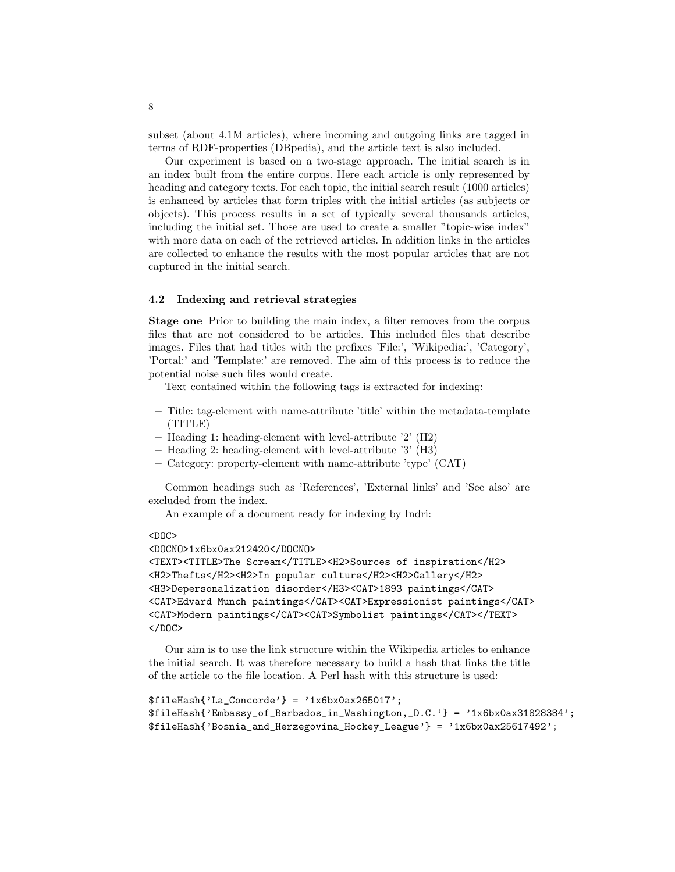subset (about 4.1M articles), where incoming and outgoing links are tagged in terms of RDF-properties (DBpedia), and the article text is also included.

Our experiment is based on a two-stage approach. The initial search is in an index built from the entire corpus. Here each article is only represented by heading and category texts. For each topic, the initial search result (1000 articles) is enhanced by articles that form triples with the initial articles (as subjects or objects). This process results in a set of typically several thousands articles, including the initial set. Those are used to create a smaller "topic-wise index" with more data on each of the retrieved articles. In addition links in the articles are collected to enhance the results with the most popular articles that are not captured in the initial search.

#### 4.2 Indexing and retrieval strategies

Stage one Prior to building the main index, a filter removes from the corpus files that are not considered to be articles. This included files that describe images. Files that had titles with the prefixes 'File:', 'Wikipedia:', 'Category', 'Portal:' and 'Template:' are removed. The aim of this process is to reduce the potential noise such files would create.

Text contained within the following tags is extracted for indexing:

- Title: tag-element with name-attribute 'title' within the metadata-template (TITLE)
- Heading 1: heading-element with level-attribute '2' (H2)
- Heading 2: heading-element with level-attribute '3' (H3)
- Category: property-element with name-attribute 'type' (CAT)

Common headings such as 'References', 'External links' and 'See also' are excluded from the index.

An example of a document ready for indexing by Indri:

```
<DOC><DOCNO>1x6bx0ax212420</DOCNO>
<TEXT><TITLE>The Scream</TITLE><H2>Sources of inspiration</H2>
<H2>Thefts</H2><H2>In popular culture</H2><H2>Gallery</H2>
<H3>Depersonalization disorder</H3><CAT>1893 paintings</CAT>
<CAT>Edvard Munch paintings</CAT><CAT>Expressionist paintings</CAT>
<CAT>Modern paintings</CAT><CAT>Symbolist paintings</CAT></TEXT>
</DOC>
```
Our aim is to use the link structure within the Wikipedia articles to enhance the initial search. It was therefore necessary to build a hash that links the title of the article to the file location. A Perl hash with this structure is used:

```
$fileHash{'La\_Concorde'} = '1x6bx0ax265017';$fileHash{'Embassy_of_Barbados_in_Washington,_D.C.'} = '1x6bx0ax31828384';
$fileHash{'Bosnia_and_Herzegovina_Hockey_League'} = '1x6bx0ax25617492';
```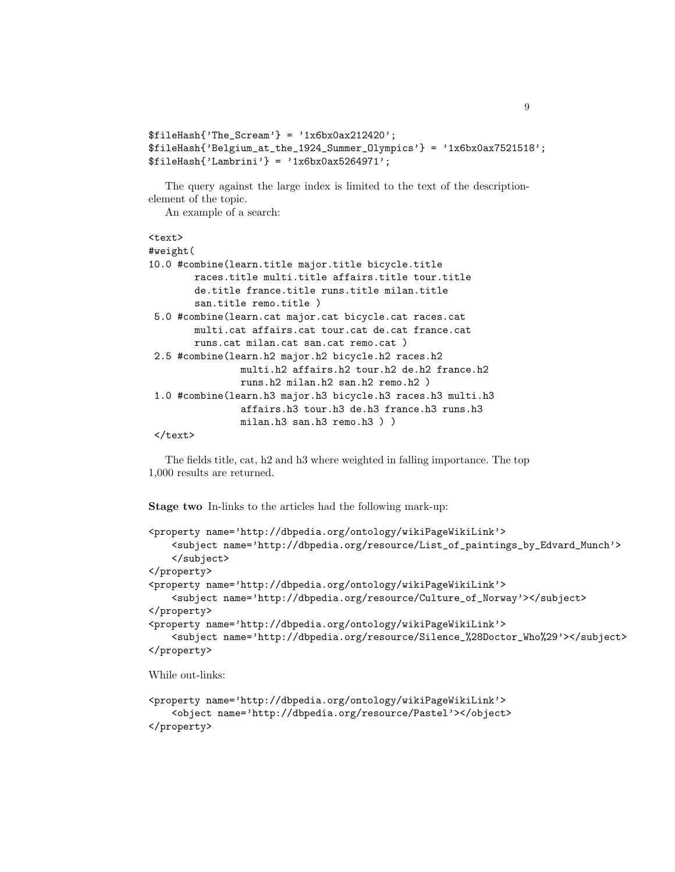```
$fileHash{'The_Scream'} = '1x6bx0ax212420';$fileHash{'Belgium_at_the_1924_Summer_Olympics'} = '1x6bx0ax7521518';
$fileHash{'Lambrini'} = '1x6bx0ax5264971';
```
The query against the large index is limited to the text of the descriptionelement of the topic.

An example of a search:

```
<text>
```

```
#weight(
10.0 #combine(learn.title major.title bicycle.title
       races.title multi.title affairs.title tour.title
       de.title france.title runs.title milan.title
       san.title remo.title )
5.0 #combine(learn.cat major.cat bicycle.cat races.cat
       multi.cat affairs.cat tour.cat de.cat france.cat
       runs.cat milan.cat san.cat remo.cat )
2.5 #combine(learn.h2 major.h2 bicycle.h2 races.h2
               multi.h2 affairs.h2 tour.h2 de.h2 france.h2
               runs.h2 milan.h2 san.h2 remo.h2 )
1.0 #combine(learn.h3 major.h3 bicycle.h3 races.h3 multi.h3
               affairs.h3 tour.h3 de.h3 france.h3 runs.h3
               milan.h3 san.h3 remo.h3 ) )
```
 $\langle$ /text>

The fields title, cat, h2 and h3 where weighted in falling importance. The top 1,000 results are returned.

Stage two In-links to the articles had the following mark-up:

```
<property name='http://dbpedia.org/ontology/wikiPageWikiLink'>
    <subject name='http://dbpedia.org/resource/List_of_paintings_by_Edvard_Munch'>
    </subject>
</property>
<property name='http://dbpedia.org/ontology/wikiPageWikiLink'>
    <subject name='http://dbpedia.org/resource/Culture_of_Norway'></subject>
</property>
<property name='http://dbpedia.org/ontology/wikiPageWikiLink'>
    <subject name='http://dbpedia.org/resource/Silence_%28Doctor_Who%29'></subject>
</property>
```
While out-links:

```
<property name='http://dbpedia.org/ontology/wikiPageWikiLink'>
    <object name='http://dbpedia.org/resource/Pastel'></object>
</property>
```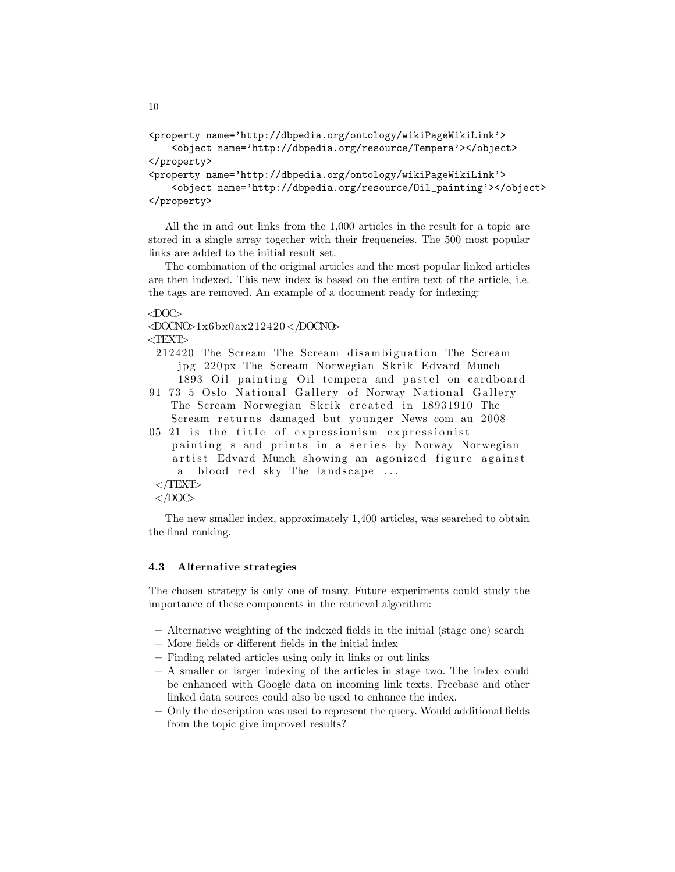```
<property name='http://dbpedia.org/ontology/wikiPageWikiLink'>
    <object name='http://dbpedia.org/resource/Tempera'></object>
</property>
<property name='http://dbpedia.org/ontology/wikiPageWikiLink'>
    <object name='http://dbpedia.org/resource/Oil_painting'></object>
</property>
```
All the in and out links from the 1,000 articles in the result for a topic are stored in a single array together with their frequencies. The 500 most popular links are added to the initial result set.

The combination of the original articles and the most popular linked articles are then indexed. This new index is based on the entire text of the article, i.e. the tags are removed. An example of a document ready for indexing:

### $<$ DOC $>$

<DOCNO>1x6bx0ax212420</DOCNO> <TEXT>

- 212420 The Scream The Scream disambiguation The Scream jpg 220px The Scream Norwegian Skrik Edvard Munch 1893 Oil painting Oil tempera and pastel on cardboard
- 91 73 5 Oslo National Gallery of Norway National Gallery The Scream Norwegian Skrik created in 18931910 The Scream returns damaged but younger News com au 2008
- $05$  21 is the title of expressionism expressionist painting s and prints in a series by Norway Norwegian artist Edvard Munch showing an agonized figure against a blood red sky The landscape ...  $<$ /TEXT $>$

 $<$ /DOC>

The new smaller index, approximately 1,400 articles, was searched to obtain the final ranking.

#### 4.3 Alternative strategies

The chosen strategy is only one of many. Future experiments could study the importance of these components in the retrieval algorithm:

- Alternative weighting of the indexed fields in the initial (stage one) search
- More fields or different fields in the initial index
- Finding related articles using only in links or out links
- A smaller or larger indexing of the articles in stage two. The index could be enhanced with Google data on incoming link texts. Freebase and other linked data sources could also be used to enhance the index.
- Only the description was used to represent the query. Would additional fields from the topic give improved results?

10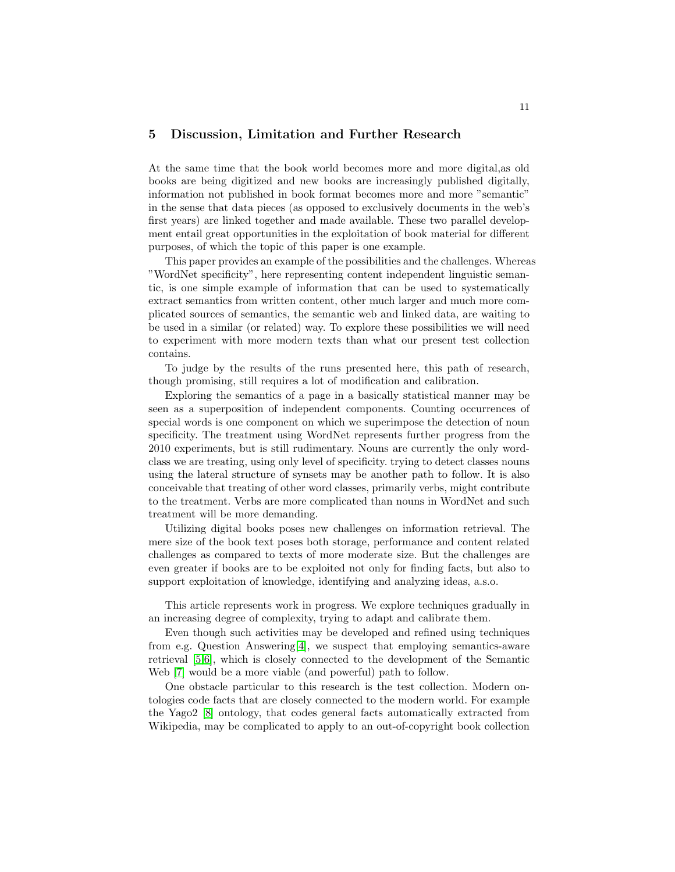# 5 Discussion, Limitation and Further Research

At the same time that the book world becomes more and more digital,as old books are being digitized and new books are increasingly published digitally, information not published in book format becomes more and more "semantic" in the sense that data pieces (as opposed to exclusively documents in the web's first years) are linked together and made available. These two parallel development entail great opportunities in the exploitation of book material for different purposes, of which the topic of this paper is one example.

This paper provides an example of the possibilities and the challenges. Whereas "WordNet specificity", here representing content independent linguistic semantic, is one simple example of information that can be used to systematically extract semantics from written content, other much larger and much more complicated sources of semantics, the semantic web and linked data, are waiting to be used in a similar (or related) way. To explore these possibilities we will need to experiment with more modern texts than what our present test collection contains.

To judge by the results of the runs presented here, this path of research, though promising, still requires a lot of modification and calibration.

Exploring the semantics of a page in a basically statistical manner may be seen as a superposition of independent components. Counting occurrences of special words is one component on which we superimpose the detection of noun specificity. The treatment using WordNet represents further progress from the 2010 experiments, but is still rudimentary. Nouns are currently the only wordclass we are treating, using only level of specificity. trying to detect classes nouns using the lateral structure of synsets may be another path to follow. It is also conceivable that treating of other word classes, primarily verbs, might contribute to the treatment. Verbs are more complicated than nouns in WordNet and such treatment will be more demanding.

Utilizing digital books poses new challenges on information retrieval. The mere size of the book text poses both storage, performance and content related challenges as compared to texts of more moderate size. But the challenges are even greater if books are to be exploited not only for finding facts, but also to support exploitation of knowledge, identifying and analyzing ideas, a.s.o.

This article represents work in progress. We explore techniques gradually in an increasing degree of complexity, trying to adapt and calibrate them.

Even though such activities may be developed and refined using techniques from e.g. Question Answering[\[4\]](#page-11-3), we suspect that employing semantics-aware retrieval [\[5,](#page-11-4)[6\]](#page-11-5), which is closely connected to the development of the Semantic Web [\[7\]](#page-11-6) would be a more viable (and powerful) path to follow.

One obstacle particular to this research is the test collection. Modern ontologies code facts that are closely connected to the modern world. For example the Yago2 [\[8\]](#page-11-7) ontology, that codes general facts automatically extracted from Wikipedia, may be complicated to apply to an out-of-copyright book collection